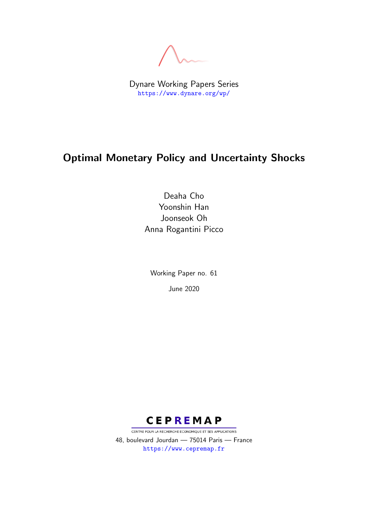Dynare Working Papers Series <https://www.dynare.org/wp/>

# Optimal Monetary Policy and Uncertainty Shocks

Deaha Cho Yoonshin Han Joonseok Oh Anna Rogantini Picco

Working Paper no. 61 June 2020



CENTRE POUR LA RECHERCHE ECONOMIQUE ET SES APPLICATIONS 48, boulevard Jourdan — 75014 Paris — France <https://www.cepremap.fr>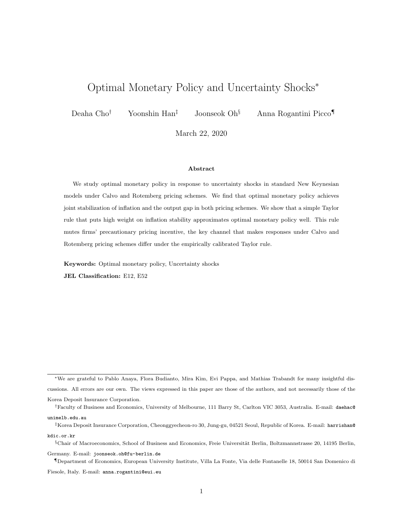# Optimal Monetary Policy and Uncertainty Shocks<sup>∗</sup>

Deaha Cho† Yoonshin Han‡ Joonseok Oh§ Anna Rogantini Picco¶

March 22, 2020

#### Abstract

We study optimal monetary policy in response to uncertainty shocks in standard New Keynesian models under Calvo and Rotemberg pricing schemes. We find that optimal monetary policy achieves joint stabilization of inflation and the output gap in both pricing schemes. We show that a simple Taylor rule that puts high weight on inflation stability approximates optimal monetary policy well. This rule mutes firms' precautionary pricing incentive, the key channel that makes responses under Calvo and Rotemberg pricing schemes differ under the empirically calibrated Taylor rule.

Keywords: Optimal monetary policy, Uncertainty shocks

JEL Classification: E12, E52

Germany. E-mail: [joonseok.oh@fu-berlin.de](mailto:joonseok.oh@fu-berlin.de)

¶Department of Economics, European University Institute, Villa La Fonte, Via delle Fontanelle 18, 50014 San Domenico di Fiesole, Italy. E-mail: [anna.rogantini@eui.eu](mailto:anna.rogantini@eui.eu)

<sup>∗</sup>We are grateful to Pablo Anaya, Flora Budianto, Mira Kim, Evi Pappa, and Mathias Trabandt for many insightful discussions. All errors are our own. The views expressed in this paper are those of the authors, and not necessarily those of the Korea Deposit Insurance Corporation.

<sup>†</sup>Faculty of Business and Economics, University of Melbourne, 111 Barry St, Carlton VIC 3053, Australia. E-mail: [daehac@](mailto:daehac@unimelb.edu.au) [unimelb.edu.au](mailto:daehac@unimelb.edu.au)

<sup>‡</sup>Korea Deposit Insurance Corporation, Cheonggyecheon-ro 30, Jung-gu, 04521 Seoul, Republic of Korea. E-mail: [harrishan@](mailto:harrishan@kdic.or.kr) [kdic.or.kr](mailto:harrishan@kdic.or.kr)

 $\S$ Chair of Macroeconomics, School of Business and Economics, Freie Universität Berlin, Boltzmannstrasse 20, 14195 Berlin,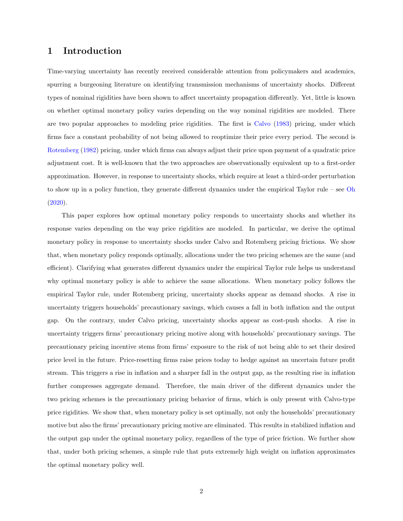## 1 Introduction

Time-varying uncertainty has recently received considerable attention from policymakers and academics, spurring a burgeoning literature on identifying transmission mechanisms of uncertainty shocks. Different types of nominal rigidities have been shown to affect uncertainty propagation differently. Yet, little is known on whether optimal monetary policy varies depending on the way nominal rigidities are modeled. There are two popular approaches to modeling price rigidities. The first is [Calvo](#page-13-0) [\(1983\)](#page-13-0) pricing, under which firms face a constant probability of not being allowed to reoptimize their price every period. The second is [Rotemberg](#page-14-0) [\(1982\)](#page-14-0) pricing, under which firms can always adjust their price upon payment of a quadratic price adjustment cost. It is well-known that the two approaches are observationally equivalent up to a first-order approximation. However, in response to uncertainty shocks, which require at least a third-order perturbation to show up in a policy function, they generate different dynamics under the empirical Taylor rule – see [Oh](#page-14-1) [\(2020\)](#page-14-1).

This paper explores how optimal monetary policy responds to uncertainty shocks and whether its response varies depending on the way price rigidities are modeled. In particular, we derive the optimal monetary policy in response to uncertainty shocks under Calvo and Rotemberg pricing frictions. We show that, when monetary policy responds optimally, allocations under the two pricing schemes are the same (and efficient). Clarifying what generates different dynamics under the empirical Taylor rule helps us understand why optimal monetary policy is able to achieve the same allocations. When monetary policy follows the empirical Taylor rule, under Rotemberg pricing, uncertainty shocks appear as demand shocks. A rise in uncertainty triggers households' precautionary savings, which causes a fall in both inflation and the output gap. On the contrary, under Calvo pricing, uncertainty shocks appear as cost-push shocks. A rise in uncertainty triggers firms' precautionary pricing motive along with households' precautionary savings. The precautionary pricing incentive stems from firms' exposure to the risk of not being able to set their desired price level in the future. Price-resetting firms raise prices today to hedge against an uncertain future profit stream. This triggers a rise in inflation and a sharper fall in the output gap, as the resulting rise in inflation further compresses aggregate demand. Therefore, the main driver of the different dynamics under the two pricing schemes is the precautionary pricing behavior of firms, which is only present with Calvo-type price rigidities. We show that, when monetary policy is set optimally, not only the households' precautionary motive but also the firms' precautionary pricing motive are eliminated. This results in stabilized inflation and the output gap under the optimal monetary policy, regardless of the type of price friction. We further show that, under both pricing schemes, a simple rule that puts extremely high weight on inflation approximates the optimal monetary policy well.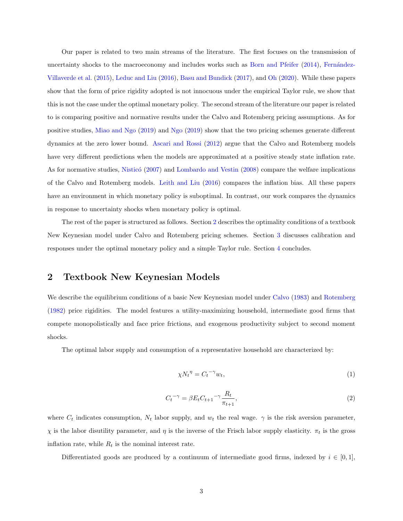Our paper is related to two main streams of the literature. The first focuses on the transmission of uncertainty shocks to the macroeconomy and includes works such as [Born and Pfeifer](#page-13-1) [\(2014\)](#page-13-1), Fernández-[Villaverde et al.](#page-13-2) [\(2015\)](#page-13-2), [Leduc and Liu](#page-13-3) [\(2016\)](#page-13-3), [Basu and Bundick](#page-13-4) [\(2017\)](#page-13-4), and [Oh](#page-14-1) [\(2020\)](#page-14-1). While these papers show that the form of price rigidity adopted is not innocuous under the empirical Taylor rule, we show that this is not the case under the optimal monetary policy. The second stream of the literature our paper is related to is comparing positive and normative results under the Calvo and Rotemberg pricing assumptions. As for positive studies, [Miao and Ngo](#page-13-5) [\(2019\)](#page-13-5) and [Ngo](#page-14-2) [\(2019\)](#page-14-2) show that the two pricing schemes generate different dynamics at the zero lower bound. [Ascari and Rossi](#page-13-6) [\(2012\)](#page-13-6) argue that the Calvo and Rotemberg models have very different predictions when the models are approximated at a positive steady state inflation rate. As for normative studies, Nisticó [\(2007\)](#page-14-3) and [Lombardo and Vestin](#page-13-7) [\(2008\)](#page-13-7) compare the welfare implications of the Calvo and Rotemberg models. [Leith and Liu](#page-13-8) [\(2016\)](#page-13-8) compares the inflation bias. All these papers have an environment in which monetary policy is suboptimal. In contrast, our work compares the dynamics in response to uncertainty shocks when monetary policy is optimal.

The rest of the paper is structured as follows. Section [2](#page-3-0) describes the optimality conditions of a textbook New Keynesian model under Calvo and Rotemberg pricing schemes. Section [3](#page-6-0) discusses calibration and responses under the optimal monetary policy and a simple Taylor rule. Section [4](#page-11-0) concludes.

### <span id="page-3-0"></span>2 Textbook New Keynesian Models

We describe the equilibrium conditions of a basic New Keynesian model under [Calvo](#page-13-0) [\(1983\)](#page-13-0) and [Rotemberg](#page-14-0) [\(1982\)](#page-14-0) price rigidities. The model features a utility-maximizing household, intermediate good firms that compete monopolistically and face price frictions, and exogenous productivity subject to second moment shocks.

The optimal labor supply and consumption of a representative household are characterized by:

<span id="page-3-1"></span>
$$
\chi N_t^{\eta} = C_t^{-\gamma} w_t,\tag{1}
$$

<span id="page-3-2"></span>
$$
C_t^{-\gamma} = \beta E_t C_{t+1}^{-\gamma} \frac{R_t}{\pi_{t+1}},
$$
\n(2)

where  $C_t$  indicates consumption,  $N_t$  labor supply, and  $w_t$  the real wage.  $\gamma$  is the risk aversion parameter,  $\chi$  is the labor disutility parameter, and  $\eta$  is the inverse of the Frisch labor supply elasticity.  $\pi_t$  is the gross inflation rate, while  $R_t$  is the nominal interest rate.

Differentiated goods are produced by a continuum of intermediate good firms, indexed by  $i \in [0,1]$ ,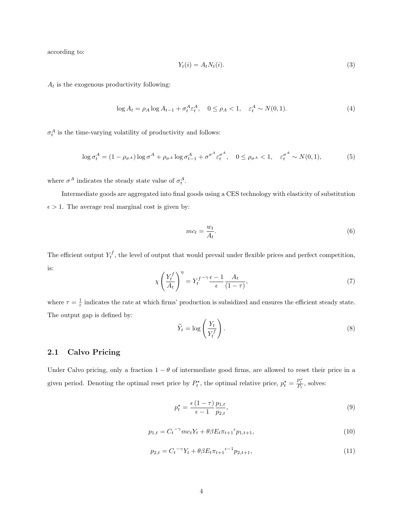according to:

$$
Y_t(i) = A_t N_t(i). \tag{3}
$$

 $A_t$  is the exogenous productivity following:

$$
\log A_t = \rho_A \log A_{t-1} + \sigma_t^A \varepsilon_t^A, \quad 0 \le \rho_A < 1, \quad \varepsilon_t^A \sim N(0, 1). \tag{4}
$$

 $\sigma_t^A$  is the time-varying volatility of productivity and follows:

$$
\log \sigma_t^A = (1 - \rho_{\sigma^A}) \log \sigma^A + \rho_{\sigma^A} \log \sigma_{t-1}^A + \sigma^{\sigma^A} \varepsilon_t^{\sigma^A}, \quad 0 \le \rho_{\sigma^A} < 1, \quad \varepsilon_t^{\sigma^A} \sim N(0, 1), \tag{5}
$$

where  $\sigma^A$  indicates the steady state value of  $\sigma_t^A$ .

Intermediate goods are aggregated into final goods using a CES technology with elasticity of substitution  $\epsilon > 1.$  The average real marginal cost is given by:

<span id="page-4-0"></span>
$$
mc_t = \frac{w_t}{A_t}.\tag{6}
$$

The efficient output  $Y_t^f$ , the level of output that would prevail under flexible prices and perfect competition, is:

$$
\chi \left(\frac{Y_t^f}{A_t}\right)^{\eta} = Y_t^{f^{-\gamma}} \frac{\epsilon - 1}{\epsilon} \frac{A_t}{(1 - \tau)},\tag{7}
$$

where  $\tau = \frac{1}{\varepsilon}$  indicates the rate at which firms' production is subsidized and ensures the efficient steady state. The output gap is defined by:

$$
\widetilde{Y}_t = \log\left(\frac{Y_t}{Y_t^f}\right). \tag{8}
$$

#### 2.1 Calvo Pricing

Under Calvo pricing, only a fraction  $1 - \theta$  of intermediate good firms, are allowed to reset their price in a given period. Denoting the optimal reset price by  $P_t^*$ , the optimal relative price,  $p_t^* = \frac{P_t^*}{P_t}$ , solves:

<span id="page-4-1"></span>
$$
p_t^\star = \frac{\epsilon \left(1 - \tau\right)}{\epsilon - 1} \frac{p_{1,t}}{p_{2,t}},\tag{9}
$$

<span id="page-4-2"></span>
$$
p_{1,t} = C_t^{-\gamma} m c_t Y_t + \theta \beta E_t \pi_{t+1}^{\epsilon} p_{1,t+1},
$$
\n(10)

<span id="page-4-3"></span>
$$
p_{2,t} = C_t^{-\gamma} Y_t + \theta \beta E_t \pi_{t+1}^{\epsilon-1} p_{2,t+1},
$$
\n(11)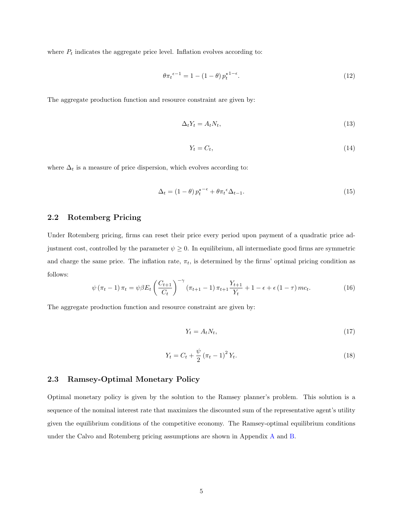where  $P_t$  indicates the aggregate price level. Inflation evolves according to:

<span id="page-5-0"></span>
$$
\theta \pi_t^{\epsilon-1} = 1 - (1 - \theta) p_t^{\star 1 - \epsilon}.
$$
\n<sup>(12)</sup>

The aggregate production function and resource constraint are given by:

<span id="page-5-1"></span>
$$
\Delta_t Y_t = A_t N_t,\tag{13}
$$

<span id="page-5-2"></span>
$$
Y_t = C_t,\tag{14}
$$

where  $\Delta_t$  is a measure of price dispersion, which evolves according to:

<span id="page-5-3"></span>
$$
\Delta_t = (1 - \theta) p_t^{\star - \epsilon} + \theta \pi_t^{\epsilon} \Delta_{t-1}.
$$
\n(15)

### 2.2 Rotemberg Pricing

Under Rotemberg pricing, firms can reset their price every period upon payment of a quadratic price adjustment cost, controlled by the parameter  $\psi \geq 0$ . In equilibrium, all intermediate good firms are symmetric and charge the same price. The inflation rate,  $\pi_t$ , is determined by the firms' optimal pricing condition as follows:

<span id="page-5-4"></span>
$$
\psi(\pi_t - 1) \pi_t = \psi \beta E_t \left(\frac{C_{t+1}}{C_t}\right)^{-\gamma} (\pi_{t+1} - 1) \pi_{t+1} \frac{Y_{t+1}}{Y_t} + 1 - \epsilon + \epsilon (1 - \tau) m c_t.
$$
\n(16)

The aggregate production function and resource constraint are given by:

<span id="page-5-5"></span>
$$
Y_t = A_t N_t,\tag{17}
$$

<span id="page-5-6"></span>
$$
Y_t = C_t + \frac{\psi}{2} (\pi_t - 1)^2 Y_t.
$$
\n(18)

#### 2.3 Ramsey-Optimal Monetary Policy

Optimal monetary policy is given by the solution to the Ramsey planner's problem. This solution is a sequence of the nominal interest rate that maximizes the discounted sum of the representative agent's utility given the equilibrium conditions of the competitive economy. The Ramsey-optimal equilibrium conditions under the Calvo and Rotemberg pricing assumptions are shown in Appendix [A](#page-15-0) and [B.](#page-16-0)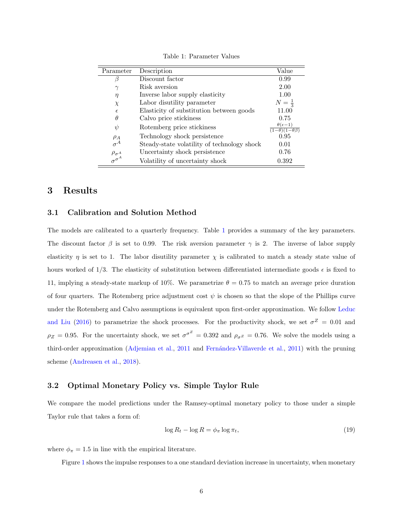| Parameter                 | Description                                 | Value                                                          |
|---------------------------|---------------------------------------------|----------------------------------------------------------------|
| β                         | Discount factor                             | 0.99                                                           |
| $\gamma$                  | Risk aversion                               | 2.00                                                           |
| $\eta$                    | Inverse labor supply elasticity             | 1.00                                                           |
| $\chi$                    | Labor disutility parameter                  | $N=\frac{1}{3}$                                                |
| $\epsilon$                | Elasticity of substitution between goods    | 11.00                                                          |
| $\theta$                  | Calvo price stickiness                      | 0.75                                                           |
| $\psi$                    | Rotemberg price stickiness                  | $\theta(\epsilon-1)$<br>$\overline{(1-\theta)(1-\theta\beta)}$ |
|                           | Technology shock persistence                | 0.95                                                           |
| $\frac{\rho_A}{\sigma^A}$ | Steady-state volatility of technology shock | 0.01                                                           |
| $\rho_{\sigma^A}$         | Uncertainty shock persistence               | 0.76                                                           |
| $\sigma^{\sigma^A}$       | Volatility of uncertainty shock             | 0.392                                                          |

<span id="page-6-1"></span>Table 1: Parameter Values

## <span id="page-6-0"></span>3 Results

#### 3.1 Calibration and Solution Method

The models are calibrated to a quarterly frequency. Table [1](#page-6-1) provides a summary of the key parameters. The discount factor  $\beta$  is set to 0.99. The risk aversion parameter  $\gamma$  is 2. The inverse of labor supply elasticity  $\eta$  is set to 1. The labor disutility parameter  $\chi$  is calibrated to match a steady state value of hours worked of 1/3. The elasticity of substitution between differentiated intermediate goods  $\epsilon$  is fixed to 11, implying a steady-state markup of 10%. We parametrize  $\theta = 0.75$  to match an average price duration of four quarters. The Rotemberg price adjustment cost  $\psi$  is chosen so that the slope of the Phillips curve under the Rotemberg and Calvo assumptions is equivalent upon first-order approximation. We follow [Leduc](#page-13-3) [and Liu](#page-13-3) [\(2016\)](#page-13-3) to parametrize the shock processes. For the productivity shock, we set  $\sigma^Z = 0.01$  and  $\rho_Z = 0.95$ . For the uncertainty shock, we set  $\sigma^{\sigma^Z} = 0.392$  and  $\rho_{\sigma^Z} = 0.76$ . We solve the models using a third-order approximation [\(Adjemian et al.,](#page-13-9) [2011](#page-13-9) and Fernández-Villaverde et al., [2011\)](#page-13-10) with the pruning scheme [\(Andreasen et al.,](#page-13-11) [2018\)](#page-13-11).

#### 3.2 Optimal Monetary Policy vs. Simple Taylor Rule

We compare the model predictions under the Ramsey-optimal monetary policy to those under a simple Taylor rule that takes a form of:

<span id="page-6-2"></span>
$$
\log R_t - \log R = \phi_\pi \log \pi_t,\tag{19}
$$

where  $\phi_{\pi} = 1.5$  in line with the empirical literature.

Figure [1](#page-7-0) shows the impulse responses to a one standard deviation increase in uncertainty, when monetary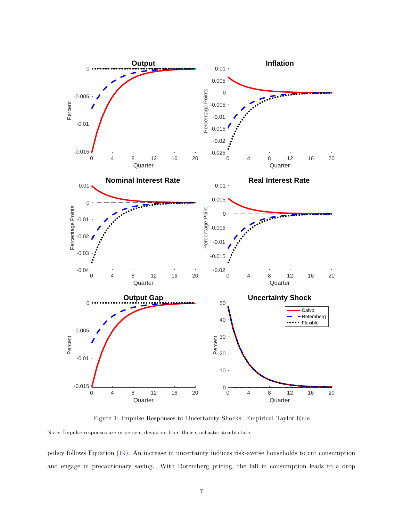

<span id="page-7-0"></span>Figure 1: Impulse Responses to Uncertainty Shocks: Empirical Taylor Rule

Note: Impulse responses are in percent deviation from their stochastic steady state.

policy follows Equation [\(19\)](#page-6-2). An increase in uncertainty induces risk-averse households to cut consumption and engage in precautionary saving. With Rotemberg pricing, the fall in consumption leads to a drop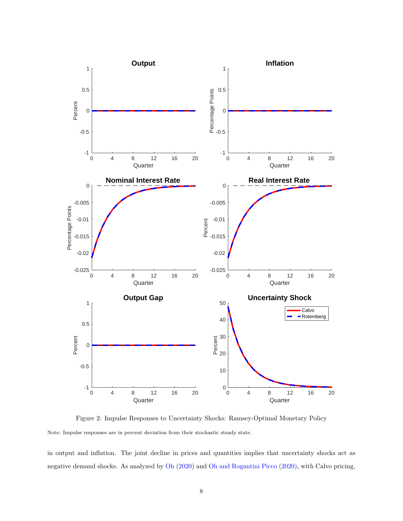

<span id="page-8-0"></span>Figure 2: Impulse Responses to Uncertainty Shocks: Ramsey-Optimal Monetary Policy Note: Impulse responses are in percent deviation from their stochastic steady state.

in output and inflation. The joint decline in prices and quantities implies that uncertainty shocks act as negative demand shocks. As analyzed by [Oh](#page-14-1) [\(2020\)](#page-14-1) and [Oh and Rogantini Picco](#page-14-4) [\(2020\)](#page-14-4), with Calvo pricing,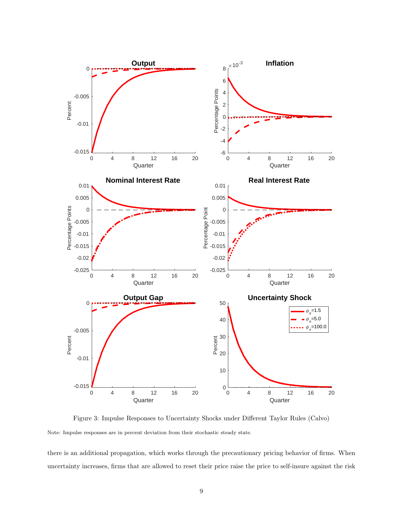

<span id="page-9-0"></span>Figure 3: Impulse Responses to Uncertainty Shocks under Different Taylor Rules (Calvo) Note: Impulse responses are in percent deviation from their stochastic steady state.

there is an additional propagation, which works through the precautionary pricing behavior of firms. When uncertainty increases, firms that are allowed to reset their price raise the price to self-insure against the risk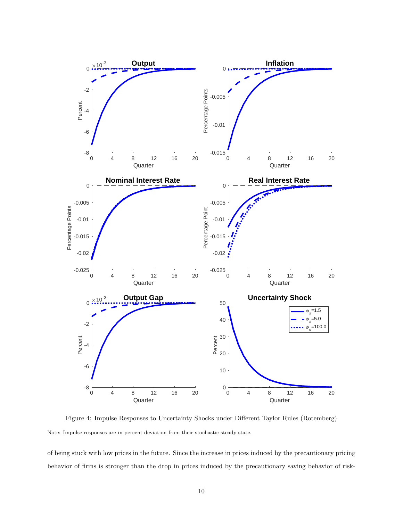

<span id="page-10-0"></span>Figure 4: Impulse Responses to Uncertainty Shocks under Different Taylor Rules (Rotemberg) Note: Impulse responses are in percent deviation from their stochastic steady state.

of being stuck with low prices in the future. Since the increase in prices induced by the precautionary pricing behavior of firms is stronger than the drop in prices induced by the precautionary saving behavior of risk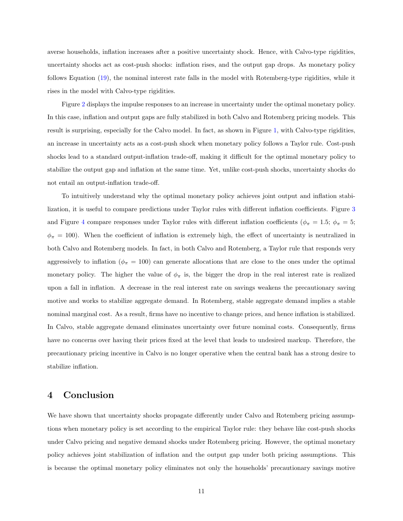averse households, inflation increases after a positive uncertainty shock. Hence, with Calvo-type rigidities, uncertainty shocks act as cost-push shocks: inflation rises, and the output gap drops. As monetary policy follows Equation [\(19\)](#page-6-2), the nominal interest rate falls in the model with Rotemberg-type rigidities, while it rises in the model with Calvo-type rigidities.

Figure [2](#page-8-0) displays the impulse responses to an increase in uncertainty under the optimal monetary policy. In this case, inflation and output gaps are fully stabilized in both Calvo and Rotemberg pricing models. This result is surprising, especially for the Calvo model. In fact, as shown in Figure [1,](#page-7-0) with Calvo-type rigidities, an increase in uncertainty acts as a cost-push shock when monetary policy follows a Taylor rule. Cost-push shocks lead to a standard output-inflation trade-off, making it difficult for the optimal monetary policy to stabilize the output gap and inflation at the same time. Yet, unlike cost-push shocks, uncertainty shocks do not entail an output-inflation trade-off.

To intuitively understand why the optimal monetary policy achieves joint output and inflation stabilization, it is useful to compare predictions under Taylor rules with different inflation coefficients. Figure [3](#page-9-0) and Figure [4](#page-10-0) compare responses under Taylor rules with different inflation coefficients ( $\phi_{\pi} = 1.5$ ;  $\phi_{\pi} = 5$ ;  $\phi_{\pi} = 100$ ). When the coefficient of inflation is extremely high, the effect of uncertainty is neutralized in both Calvo and Rotemberg models. In fact, in both Calvo and Rotemberg, a Taylor rule that responds very aggressively to inflation ( $\phi_{\pi} = 100$ ) can generate allocations that are close to the ones under the optimal monetary policy. The higher the value of  $\phi_{\pi}$  is, the bigger the drop in the real interest rate is realized upon a fall in inflation. A decrease in the real interest rate on savings weakens the precautionary saving motive and works to stabilize aggregate demand. In Rotemberg, stable aggregate demand implies a stable nominal marginal cost. As a result, firms have no incentive to change prices, and hence inflation is stabilized. In Calvo, stable aggregate demand eliminates uncertainty over future nominal costs. Consequently, firms have no concerns over having their prices fixed at the level that leads to undesired markup. Therefore, the precautionary pricing incentive in Calvo is no longer operative when the central bank has a strong desire to stabilize inflation.

## <span id="page-11-0"></span>4 Conclusion

We have shown that uncertainty shocks propagate differently under Calvo and Rotemberg pricing assumptions when monetary policy is set according to the empirical Taylor rule: they behave like cost-push shocks under Calvo pricing and negative demand shocks under Rotemberg pricing. However, the optimal monetary policy achieves joint stabilization of inflation and the output gap under both pricing assumptions. This is because the optimal monetary policy eliminates not only the households' precautionary savings motive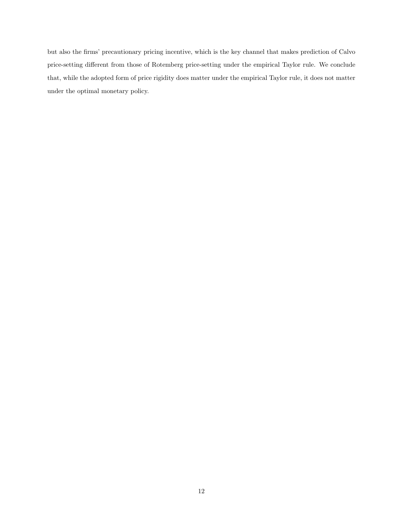but also the firms' precautionary pricing incentive, which is the key channel that makes prediction of Calvo price-setting different from those of Rotemberg price-setting under the empirical Taylor rule. We conclude that, while the adopted form of price rigidity does matter under the empirical Taylor rule, it does not matter under the optimal monetary policy.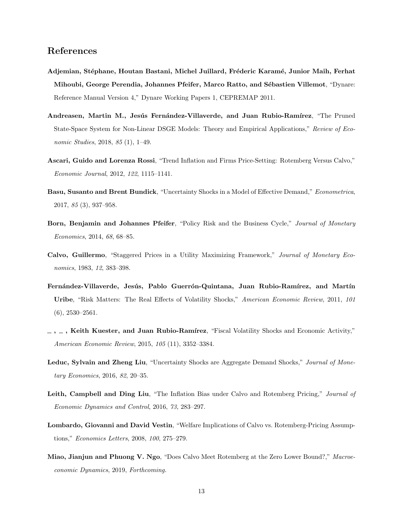## References

- <span id="page-13-9"></span>Adjemian, Stéphane, Houtan Bastani, Michel Juillard, Fréderic Karamé, Junior Maih, Ferhat Mihoubi, George Perendia, Johannes Pfeifer, Marco Ratto, and Sébastien Villemot, "Dynare: Reference Manual Version 4," Dynare Working Papers 1, CEPREMAP 2011.
- <span id="page-13-11"></span>Andreasen, Martin M., Jesús Fernández-Villaverde, and Juan Rubio-Ramírez, "The Pruned State-Space System for Non-Linear DSGE Models: Theory and Empirical Applications," Review of Economic Studies, 2018, 85 (1), 1–49.
- <span id="page-13-6"></span>Ascari, Guido and Lorenza Rossi, "Trend Inflation and Firms Price-Setting: Rotemberg Versus Calvo," Economic Journal, 2012, 122, 1115–1141.
- <span id="page-13-4"></span>Basu, Susanto and Brent Bundick, "Uncertainty Shocks in a Model of Effective Demand," Econometrica, 2017, 85 (3), 937–958.
- <span id="page-13-1"></span>Born, Benjamin and Johannes Pfeifer, "Policy Risk and the Business Cycle," Journal of Monetary Economics, 2014, 68, 68–85.
- <span id="page-13-0"></span>Calvo, Guillermo, "Staggered Prices in a Utility Maximizing Framework," Journal of Monetary Economics, 1983, 12, 383–398.
- <span id="page-13-10"></span>Fernández-Villaverde, Jesús, Pablo Guerrón-Quintana, Juan Rubio-Ramírez, and Martín Uribe, "Risk Matters: The Real Effects of Volatility Shocks," American Economic Review, 2011, 101 (6), 2530–2561.
- <span id="page-13-2"></span> $, \ldots$ , Keith Kuester, and Juan Rubio-Ramírez, "Fiscal Volatility Shocks and Economic Activity," American Economic Review, 2015, 105 (11), 3352–3384.
- <span id="page-13-3"></span>Leduc, Sylvain and Zheng Liu, "Uncertainty Shocks are Aggregate Demand Shocks," Journal of Monetary Economics, 2016, 82, 20–35.
- <span id="page-13-8"></span>Leith, Campbell and Ding Liu, "The Inflation Bias under Calvo and Rotemberg Pricing," Journal of Economic Dynamics and Control, 2016, 73, 283–297.
- <span id="page-13-7"></span>Lombardo, Giovanni and David Vestin, "Welfare Implications of Calvo vs. Rotemberg-Pricing Assumptions," Economics Letters, 2008, 100, 275–279.
- <span id="page-13-5"></span>Miao, Jianjun and Phuong V. Ngo, "Does Calvo Meet Rotemberg at the Zero Lower Bound?," Macroeconomic Dynamics, 2019, Forthcoming.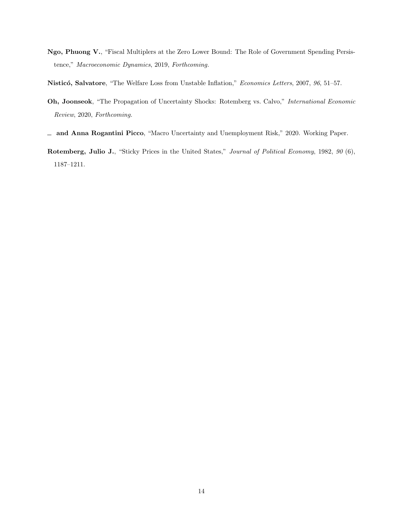- <span id="page-14-2"></span>Ngo, Phuong V., "Fiscal Multiplers at the Zero Lower Bound: The Role of Government Spending Persistence," Macroeconomic Dynamics, 2019, Forthcoming.
- <span id="page-14-3"></span>Nisticó, Salvatore, "The Welfare Loss from Unstable Inflation," Economics Letters, 2007, 96, 51–57.
- <span id="page-14-1"></span>Oh, Joonseok, "The Propagation of Uncertainty Shocks: Rotemberg vs. Calvo," International Economic Review, 2020, Forthcoming.
- <span id="page-14-4"></span>and Anna Rogantini Picco, "Macro Uncertainty and Unemployment Risk," 2020. Working Paper.
- <span id="page-14-0"></span>Rotemberg, Julio J., "Sticky Prices in the United States," Journal of Political Economy, 1982, 90 (6), 1187–1211.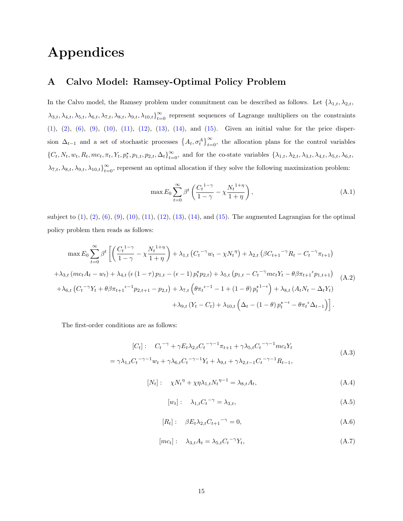# Appendices

## <span id="page-15-0"></span>A Calvo Model: Ramsey-Optimal Policy Problem

In the Calvo model, the Ramsey problem under commitment can be described as follows. Let  $\{\lambda_{1,t}, \lambda_{2,t},$  $\lambda_{3,t}, \lambda_{4,t}, \lambda_{5,t}, \lambda_{6,t}, \lambda_{7,t}, \lambda_{8,t}, \lambda_{9,t}, \lambda_{10,t}\}_{t=0}^{\infty}$  represent sequences of Lagrange multipliers on the constraints [\(1\)](#page-3-1), [\(2\)](#page-3-2), [\(6\)](#page-4-0), [\(9\)](#page-4-1), [\(10\)](#page-4-2), [\(11\)](#page-4-3), [\(12\)](#page-5-0), [\(13\)](#page-5-1), [\(14\)](#page-5-2), and [\(15\)](#page-5-3). Given an initial value for the price dispersion  $\Delta_{t-1}$  and a set of stochastic processes  $\{A_t, \sigma_t^A\}_{t=0}^{\infty}$ , the allocation plans for the control variables {Ct, Nt, wt, Rt, mct, πt, Yt, p? t , p1,t, p2,t, ∆t} ∞ <sup>t</sup>=0, and for the co-state variables {λ1,t, λ2,t, λ3,t, λ4,t, λ5,t, λ6,t,  $\lambda_{7,t}, \lambda_{8,t}, \lambda_{9,t}, \lambda_{10,t}\}_{t=0}^{\infty}$ , represent an optimal allocation if they solve the following maximization problem:

$$
\max E_0 \sum_{t=0}^{\infty} \beta^t \left( \frac{C_t^{1-\gamma}}{1-\gamma} - \chi \frac{N_t^{1+\eta}}{1+\eta} \right),\tag{A.1}
$$

subject to  $(1)$ ,  $(2)$ ,  $(6)$ ,  $(9)$ ,  $(10)$ ,  $(11)$ ,  $(12)$ ,  $(13)$ ,  $(14)$ , and  $(15)$ . The augmented Lagrangian for the optimal policy problem then reads as follows:

$$
\max E_0 \sum_{t=0}^{\infty} \beta^t \left[ \left( \frac{C_t^{1-\gamma}}{1-\gamma} - \chi \frac{N_t^{1+\eta}}{1+\eta} \right) + \lambda_{1,t} \left( C_t^{-\gamma} w_t - \chi N_t^{\eta} \right) + \lambda_{2,t} \left( \beta C_{t+1}^{-\gamma} R_t - C_t^{-\gamma} \pi_{t+1} \right) \right.
$$
  
+  $\lambda_{3,t} \left( mc_t A_t - w_t \right) + \lambda_{4,t} \left( \epsilon \left( 1 - \tau \right) p_{1,t} - (\epsilon - 1) p_t^* p_{2,t} \right) + \lambda_{5,t} \left( p_{1,t} - C_t^{-\gamma} mc_t Y_t - \theta \beta \pi_{t+1}^{\epsilon} p_{1,t+1} \right)$   
+  $\lambda_{6,t} \left( C_t^{-\gamma} Y_t + \theta \beta \pi_{t+1}^{\epsilon-1} p_{2,t+1} - p_{2,t} \right) + \lambda_{7,t} \left( \theta \pi_t^{\epsilon-1} - 1 + (1 - \theta) p_t^{\star 1-\epsilon} \right) + \lambda_{8,t} \left( A_t N_t - \Delta_t Y_t \right)$   
+  $\lambda_{9,t} \left( Y_t - C_t \right) + \lambda_{10,t} \left( \Delta_t - (1 - \theta) p_t^{\star - \epsilon} - \theta \pi_t^{\epsilon} \Delta_{t-1} \right) \right].$  (A.2)

The first-order conditions are as follows:

$$
[C_t]: \quad C_t^{-\gamma} + \gamma E_t \lambda_{2,t} C_t^{-\gamma - 1} \pi_{t+1} + \gamma \lambda_{5,t} C_t^{-\gamma - 1} mc_t Y_t
$$
  
=  $\gamma \lambda_{1,t} C_t^{-\gamma - 1} w_t + \gamma \lambda_{6,t} C_t^{-\gamma - 1} Y_t + \lambda_{9,t} + \gamma \lambda_{2,t-1} C_t^{-\gamma - 1} R_{t-1},$  (A.3)

$$
[N_t]: \quad \chi N_t^{\eta} + \chi \eta \lambda_{1,t} N_t^{\eta - 1} = \lambda_{8,t} A_t,
$$
\n(A.4)

$$
[w_t]: \quad \lambda_{1,t} C_t^{-\gamma} = \lambda_{3,t},\tag{A.5}
$$

$$
[R_t]: \quad \beta E_t \lambda_{2,t} C_{t+1}^{-\gamma} = 0,
$$
\n(A.6)

$$
[mc_t]: \quad \lambda_{3,t} A_t = \lambda_{5,t} C_t^{-\gamma} Y_t,\tag{A.7}
$$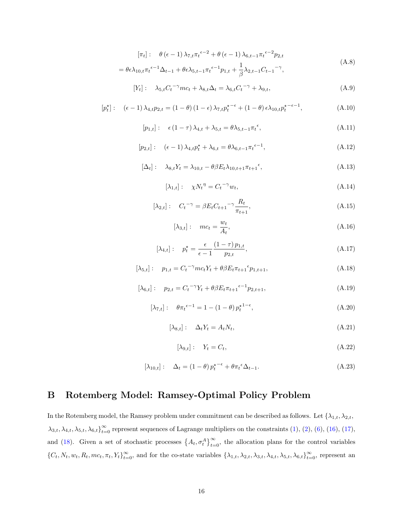$$
[\pi_t]: \quad \theta\left(\epsilon - 1\right)\lambda_{7,t}\pi_t^{\epsilon-2} + \theta\left(\epsilon - 1\right)\lambda_{6,t-1}\pi_t^{\epsilon-2}p_{2,t}
$$
\n
$$
= \theta\epsilon\lambda_{10,t}\pi_t^{\epsilon-1}\Delta_{t-1} + \theta\epsilon\lambda_{5,t-1}\pi_t^{\epsilon-1}p_{1,t} + \frac{1}{\beta}\lambda_{2,t-1}C_{t-1}^{-\gamma},\tag{A.8}
$$

$$
[Y_t]: \quad \lambda_{5,t} C_t^{-\gamma} m c_t + \lambda_{8,t} \Delta_t = \lambda_{6,t} C_t^{-\gamma} + \lambda_{9,t}, \tag{A.9}
$$

$$
[p_t^{\star}] : \quad (\epsilon - 1) \lambda_{4,t} p_{2,t} = (1 - \theta) (1 - \epsilon) \lambda_{7,t} p_t^{\star - \epsilon} + (1 - \theta) \epsilon \lambda_{10,t} p_t^{\star - \epsilon - 1}, \tag{A.10}
$$

$$
[p_{1,t}]: \quad \epsilon (1-\tau) \lambda_{4,t} + \lambda_{5,t} = \theta \lambda_{5,t-1} \pi_t^{\epsilon}, \tag{A.11}
$$

$$
[p_{2,t}]: \quad (\epsilon - 1) \lambda_{4,t} p_t^* + \lambda_{6,t} = \theta \lambda_{6,t-1} \pi_t^{\epsilon-1}, \tag{A.12}
$$

$$
[\Delta_t]: \quad \lambda_{8,t} Y_t = \lambda_{10,t} - \theta \beta E_t \lambda_{10,t+1} \pi_{t+1}^{\epsilon}, \tag{A.13}
$$

$$
[\lambda_{1,t}]: \quad \chi N_t^{\eta} = C_t^{-\gamma} w_t,\tag{A.14}
$$

$$
[\lambda_{2,t}]: \quad C_t^{-\gamma} = \beta E_t C_{t+1}^{-\gamma} \frac{R_t}{\pi_{t+1}}, \tag{A.15}
$$

$$
[\lambda_{3,t}]: \quad mc_t = \frac{w_t}{A_t},\tag{A.16}
$$

$$
[\lambda_{4,t}]: \quad p_t^* = \frac{\epsilon}{\epsilon - 1} \frac{(1 - \tau) p_{1,t}}{p_{2,t}},
$$
\n(A.17)

$$
[\lambda_{5,t}]: \quad p_{1,t} = C_t^{-\gamma}mc_tY_t + \theta\beta E_t\pi_{t+1} \epsilon_{p_{1,t+1}}, \tag{A.18}
$$

$$
[\lambda_{6,t}]: \quad p_{2,t} = C_t^{-\gamma} Y_t + \theta \beta E_t \pi_{t+1} e^{-1} p_{2,t+1}, \tag{A.19}
$$

$$
[\lambda_{7,t}]: \quad \theta \pi_t^{\epsilon-1} = 1 - (1 - \theta) p_t^{\star 1-\epsilon}, \tag{A.20}
$$

$$
[\lambda_{8,t}]: \quad \Delta_t Y_t = A_t N_t,\tag{A.21}
$$

$$
[\lambda_{9,t}]: Y_t = C_t, \tag{A.22}
$$

$$
[\lambda_{10,t}]: \quad \Delta_t = (1-\theta) p_t^{\star-\epsilon} + \theta \pi_t^{\epsilon} \Delta_{t-1}.
$$
\n(A.23)

## <span id="page-16-0"></span>B Rotemberg Model: Ramsey-Optimal Policy Problem

In the Rotemberg model, the Ramsey problem under commitment can be described as follows. Let  $\{\lambda_{1,t}, \lambda_{2,t},$  $\lambda_{3,t}, \lambda_{4,t}, \lambda_{5,t}, \lambda_{6,t}$   $_{t=0}^{\infty}$  represent sequences of Lagrange multipliers on the constraints [\(1\)](#page-3-1), [\(2\)](#page-3-2), [\(6\)](#page-4-0), [\(16\)](#page-5-4), [\(17\)](#page-5-5), and [\(18\)](#page-5-6). Given a set of stochastic processes  $\{A_t, \sigma_t^A\}_{t=0}^{\infty}$ , the allocation plans for the control variables  ${C_t, N_t, w_t, R_t, mc_t, \pi_t, Y_t}_{t=0}^{\infty}$ , and for the co-state variables  ${\lambda_{1,t}, \lambda_{2,t}, \lambda_{3,t}, \lambda_{4,t}, \lambda_{5,t}, \lambda_{6,t}}_{t=0}^{\infty}$ , represent an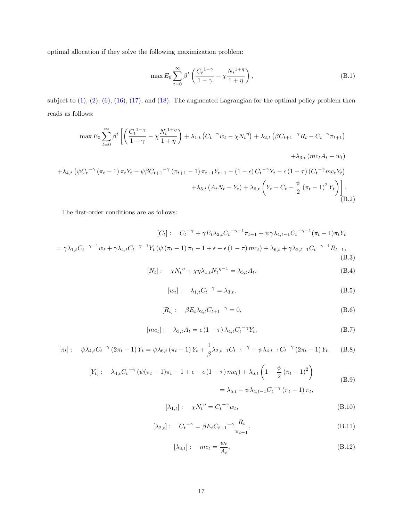optimal allocation if they solve the following maximization problem:

$$
\max E_0 \sum_{t=0}^{\infty} \beta^t \left( \frac{C_t^{1-\gamma}}{1-\gamma} - \chi \frac{N_t^{1+\eta}}{1+\eta} \right),\tag{B.1}
$$

subject to  $(1)$ ,  $(2)$ ,  $(6)$ ,  $(16)$ ,  $(17)$ , and  $(18)$ . The augmented Lagrangian for the optimal policy problem then reads as follows:

$$
\max E_{0} \sum_{t=0}^{\infty} \beta^{t} \left[ \left( \frac{C_{t}^{1-\gamma}}{1-\gamma} - \chi \frac{N_{t}^{1+\eta}}{1+\eta} \right) + \lambda_{1,t} \left( C_{t}^{-\gamma} w_{t} - \chi N_{t}^{\eta} \right) + \lambda_{2,t} \left( \beta C_{t+1}^{-\gamma} R_{t} - C_{t}^{-\gamma} \pi_{t+1} \right) \right. \\
\left. + \lambda_{3,t} \left( mc_{t} A_{t} - w_{t} \right) \\
\left. + \lambda_{4,t} \left( \psi C_{t}^{-\gamma} \left( \pi_{t} - 1 \right) \pi_{t} Y_{t} - \psi \beta C_{t+1}^{-\gamma} \left( \pi_{t+1} - 1 \right) \pi_{t+1} Y_{t+1} - (1 - \epsilon) C_{t}^{-\gamma} Y_{t} - \epsilon \left( 1 - \tau \right) \left( C_{t}^{-\gamma} m c_{t} Y_{t} \right) \right. \\
\left. + \lambda_{5,t} \left( A_{t} N_{t} - Y_{t} \right) + \lambda_{6,t} \left( Y_{t} - C_{t} - \frac{\psi}{2} \left( \pi_{t} - 1 \right)^{2} Y_{t} \right) \right].
$$
\n(B.2)

The first-order conditions are as follows:

$$
[C_t]: \quad C_t^{-\gamma} + \gamma E_t \lambda_{2,t} C_t^{-\gamma - 1} \pi_{t+1} + \psi \gamma \lambda_{4,t-1} C_t^{-\gamma - 1} (\pi_t - 1) \pi_t Y_t
$$
  
=  $\gamma \lambda_{1,t} C_t^{-\gamma - 1} w_t + \gamma \lambda_{4,t} C_t^{-\gamma - 1} Y_t (\psi (\pi_t - 1) \pi_t - 1 + \epsilon - \epsilon (1 - \tau) mc_t) + \lambda_{6,t} + \gamma \lambda_{2,t-1} C_t^{-\gamma - 1} R_{t-1},$   
(B.3)

$$
[N_t]: \quad \chi N_t^{\eta} + \chi \eta \lambda_{1,t} N_t^{\eta - 1} = \lambda_{5,t} A_t,
$$
\n(B.4)

$$
[w_t]: \quad \lambda_{1,t} C_t^{-\gamma} = \lambda_{3,t},\tag{B.5}
$$

$$
[R_t]: \quad \beta E_t \lambda_{2,t} C_{t+1}^{-\gamma} = 0,
$$
\n(B.6)

$$
[mc_t]: \quad \lambda_{3,t} A_t = \epsilon (1-\tau) \lambda_{4,t} C_t^{-\gamma} Y_t,
$$
\n(B.7)

$$
[\pi_t]: \quad \psi \lambda_{4,t} C_t^{-\gamma} (2\pi_t - 1) Y_t = \psi \lambda_{6,t} (\pi_t - 1) Y_t + \frac{1}{\beta} \lambda_{2,t-1} C_{t-1}^{-\gamma} + \psi \lambda_{4,t-1} C_t^{-\gamma} (2\pi_t - 1) Y_t, \quad (B.8)
$$

$$
[Y_t]: \quad \lambda_{4,t} C_t^{-\gamma} \left( \psi(\pi_t - 1)\pi_t - 1 + \epsilon - \epsilon (1 - \tau) m c_t \right) + \lambda_{6,t} \left( 1 - \frac{\psi}{2} (\pi_t - 1)^2 \right)
$$
  

$$
= \lambda_{5,t} + \psi \lambda_{4,t-1} C_t^{-\gamma} (\pi_t - 1) \pi_t,
$$
 (B.9)

$$
[\lambda_{1,t}]: \quad \chi N_t^{\eta} = C_t^{-\gamma} w_t,\tag{B.10}
$$

$$
[\lambda_{2,t}]: \quad C_t^{-\gamma} = \beta E_t C_{t+1}^{-\gamma} \frac{R_t}{\pi_{t+1}},
$$
\n(B.11)

$$
[\lambda_{3,t}]: \quad mc_t = \frac{w_t}{A_t},\tag{B.12}
$$